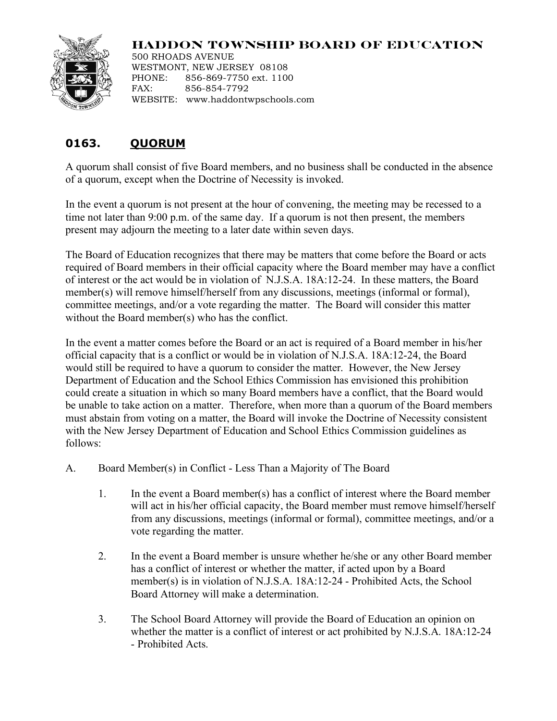## **HADDON TOWNSHIP BOARD OF EDUCATION**



500 RHOADS AVENUE WESTMONT, NEW JERSEY 08108 PHONE: 856-869-7750 ext. 1100 FAX: 856-854-7792 WEBSITE: www.haddontwpschools.com

## **0163. QUORUM**

A quorum shall consist of five Board members, and no business shall be conducted in the absence of a quorum, except when the Doctrine of Necessity is invoked.

In the event a quorum is not present at the hour of convening, the meeting may be recessed to a time not later than 9:00 p.m. of the same day. If a quorum is not then present, the members present may adjourn the meeting to a later date within seven days.

The Board of Education recognizes that there may be matters that come before the Board or acts required of Board members in their official capacity where the Board member may have a conflict of interest or the act would be in violation of N.J.S.A. 18A:12-24. In these matters, the Board member(s) will remove himself/herself from any discussions, meetings (informal or formal), committee meetings, and/or a vote regarding the matter. The Board will consider this matter without the Board member(s) who has the conflict.

In the event a matter comes before the Board or an act is required of a Board member in his/her official capacity that is a conflict or would be in violation of N.J.S.A. 18A:12-24, the Board would still be required to have a quorum to consider the matter. However, the New Jersey Department of Education and the School Ethics Commission has envisioned this prohibition could create a situation in which so many Board members have a conflict, that the Board would be unable to take action on a matter. Therefore, when more than a quorum of the Board members must abstain from voting on a matter, the Board will invoke the Doctrine of Necessity consistent with the New Jersey Department of Education and School Ethics Commission guidelines as follows:

- A. Board Member(s) in Conflict Less Than a Majority of The Board
	- 1. In the event a Board member(s) has a conflict of interest where the Board member will act in his/her official capacity, the Board member must remove himself/herself from any discussions, meetings (informal or formal), committee meetings, and/or a vote regarding the matter.
	- 2. In the event a Board member is unsure whether he/she or any other Board member has a conflict of interest or whether the matter, if acted upon by a Board member(s) is in violation of N.J.S.A. 18A:12-24 - Prohibited Acts, the School Board Attorney will make a determination.
	- 3. The School Board Attorney will provide the Board of Education an opinion on whether the matter is a conflict of interest or act prohibited by N.J.S.A. 18A:12-24 - Prohibited Acts.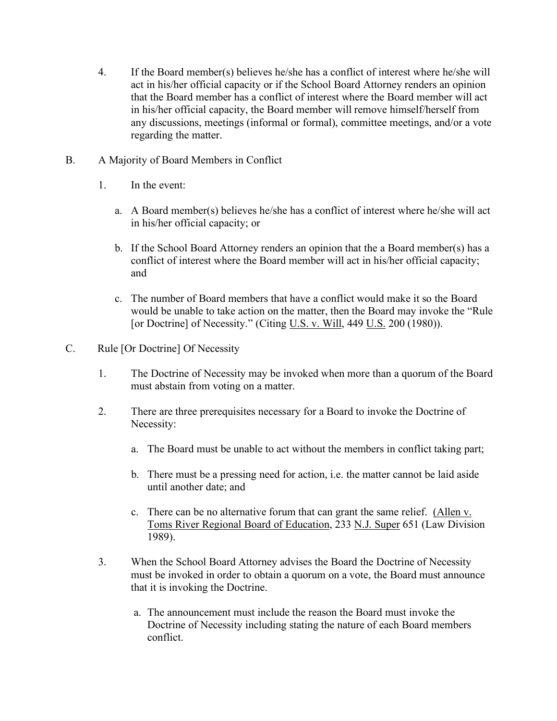- 4. If the Board member(s) believes he/she has a conflict of interest where he/she will act in his/her official capacity or if the School Board Attorney renders an opinion that the Board member has a conflict of interest where the Board member will act in his/her official capacity, the Board member will remove himself/herself from any discussions, meetings (informal or formal), committee meetings, and/or a vote regarding the matter.
- B. A Majority of Board Members in Conflict
	- 1. In the event:
		- a. A Board member(s) believes he/she has a conflict of interest where he/she will act in his/her official capacity; or
		- b. If the School Board Attorney renders an opinion that the a Board member(s) has a conflict of interest where the Board member will act in his/her official capacity; and
		- c. The number of Board members that have a conflict would make it so the Board would be unable to take action on the matter, then the Board may invoke the "Rule [or Doctrine] of Necessity." (Citing U.S. v. Will, 449 U.S. 200 (1980)).
- C. Rule [Or Doctrine] Of Necessity
	- 1. The Doctrine of Necessity may be invoked when more than a quorum of the Board must abstain from voting on a matter.
	- 2. There are three prerequisites necessary for a Board to invoke the Doctrine of Necessity:
		- a. The Board must be unable to act without the members in conflict taking part;
		- b. There must be a pressing need for action, i.e. the matter cannot be laid aside until another date; and
		- c. There can be no alternative forum that can grant the same relief. (Allen v. Toms River Regional Board of Education, 233 N.J. Super 651 (Law Division 1989).
	- 3. When the School Board Attorney advises the Board the Doctrine of Necessity must be invoked in order to obtain a quorum on a vote, the Board must announce that it is invoking the Doctrine.
		- a. The announcement must include the reason the Board must invoke the Doctrine of Necessity including stating the nature of each Board members conflict.